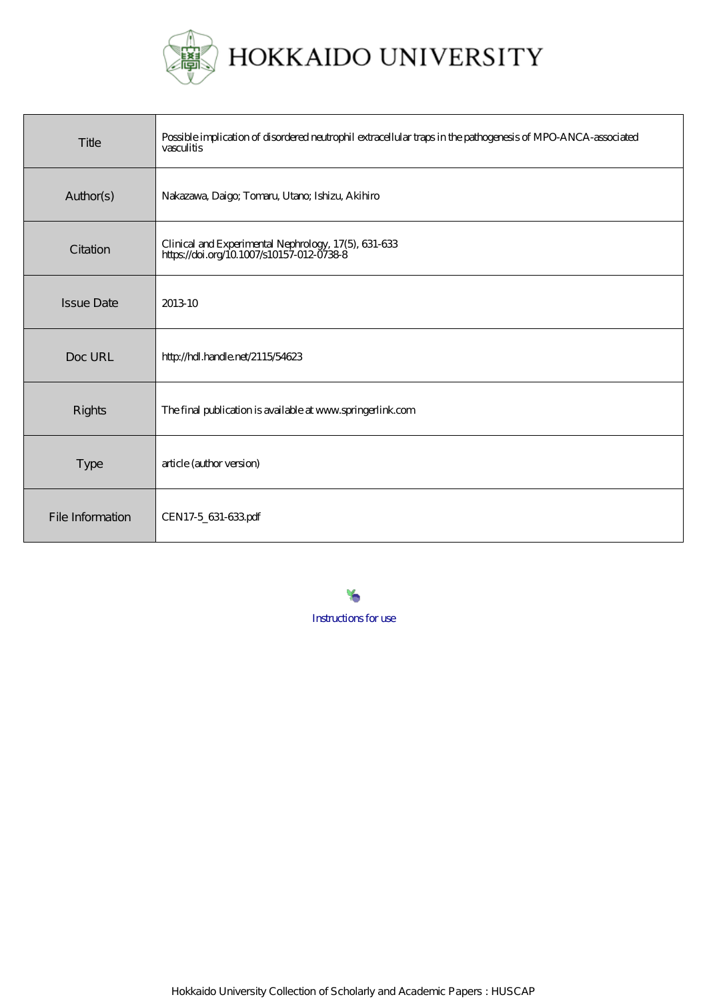

| Title             | Possible implication of disordered neutrophil extracellular traps in the pathogenesis of MPO-ANCA-associated<br>vasculitis |
|-------------------|----------------------------------------------------------------------------------------------------------------------------|
| Author(s)         | Nakazawa, Daigo; Tomaru, Utano; Ishizu, Akihiro                                                                            |
| Citation          | Clinical and Experimental Nephrology, 17(5), 631-633<br>https://doi.org/10.1007/s10157-012-0738-8                          |
| <b>Issue Date</b> | 2013-10                                                                                                                    |
| Doc URL           | http://hdl.handle.net/2115/54623                                                                                           |
| <b>Rights</b>     | The final publication is available at www.springerlink.com                                                                 |
| <b>Type</b>       | article (author version)                                                                                                   |
| File Information  | CEN17-5_631-633pdf                                                                                                         |

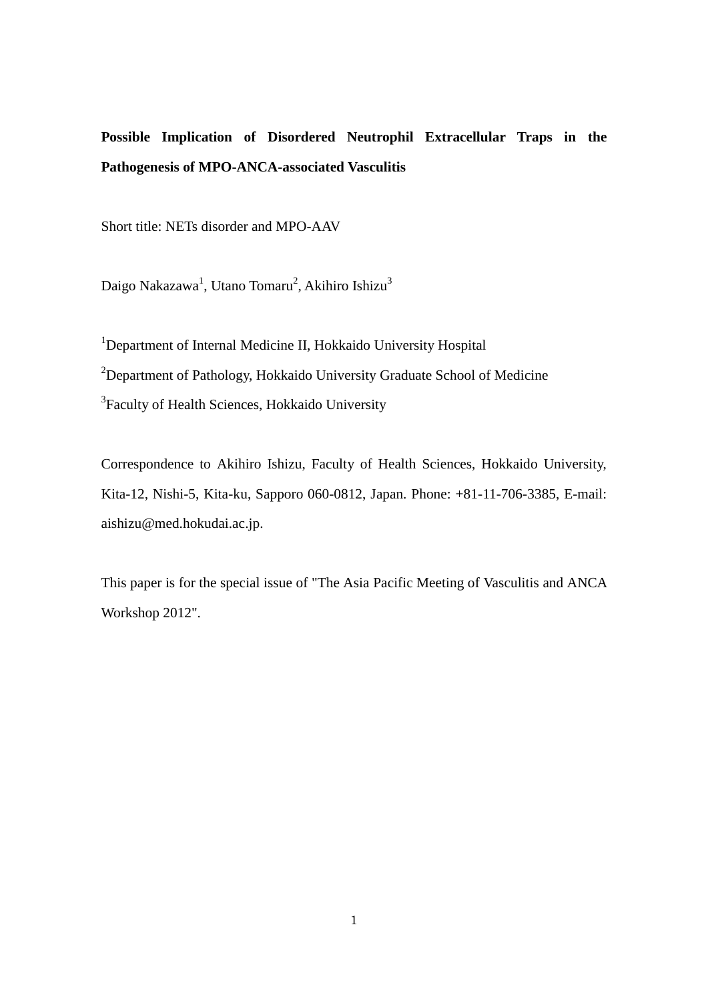# **Possible Implication of Disordered Neutrophil Extracellular Traps in the Pathogenesis of MPO-ANCA-associated Vasculitis**

Short title: NETs disorder and MPO-AAV

Daigo Nakazawa<sup>1</sup>, Utano Tomaru<sup>2</sup>, Akihiro Ishizu<sup>3</sup>

<sup>1</sup>Department of Internal Medicine II, Hokkaido University Hospital <sup>2</sup>Department of Pathology, Hokkaido University Graduate School of Medicine <sup>3</sup> Faculty of Health Sciences, Hokkaido University

Correspondence to Akihiro Ishizu, Faculty of Health Sciences, Hokkaido University, Kita-12, Nishi-5, Kita-ku, Sapporo 060-0812, Japan. Phone: +81-11-706-3385, E-mail: aishizu@med.hokudai.ac.jp.

This paper is for the special issue of "The Asia Pacific Meeting of Vasculitis and ANCA Workshop 2012".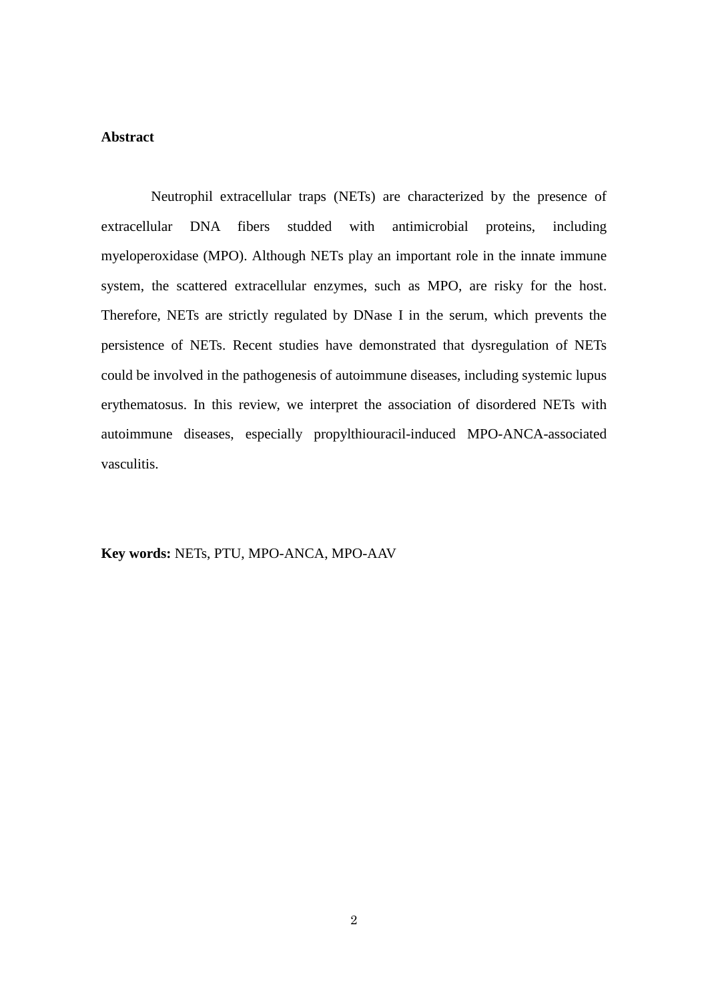### **Abstract**

Neutrophil extracellular traps (NETs) are characterized by the presence of extracellular DNA fibers studded with antimicrobial proteins, including myeloperoxidase (MPO). Although NETs play an important role in the innate immune system, the scattered extracellular enzymes, such as MPO, are risky for the host. Therefore, NETs are strictly regulated by DNase I in the serum, which prevents the persistence of NETs. Recent studies have demonstrated that dysregulation of NETs could be involved in the pathogenesis of autoimmune diseases, including systemic lupus erythematosus. In this review, we interpret the association of disordered NETs with autoimmune diseases, especially propylthiouracil-induced MPO-ANCA-associated vasculitis.

**Key words:** NETs, PTU, MPO-ANCA, MPO-AAV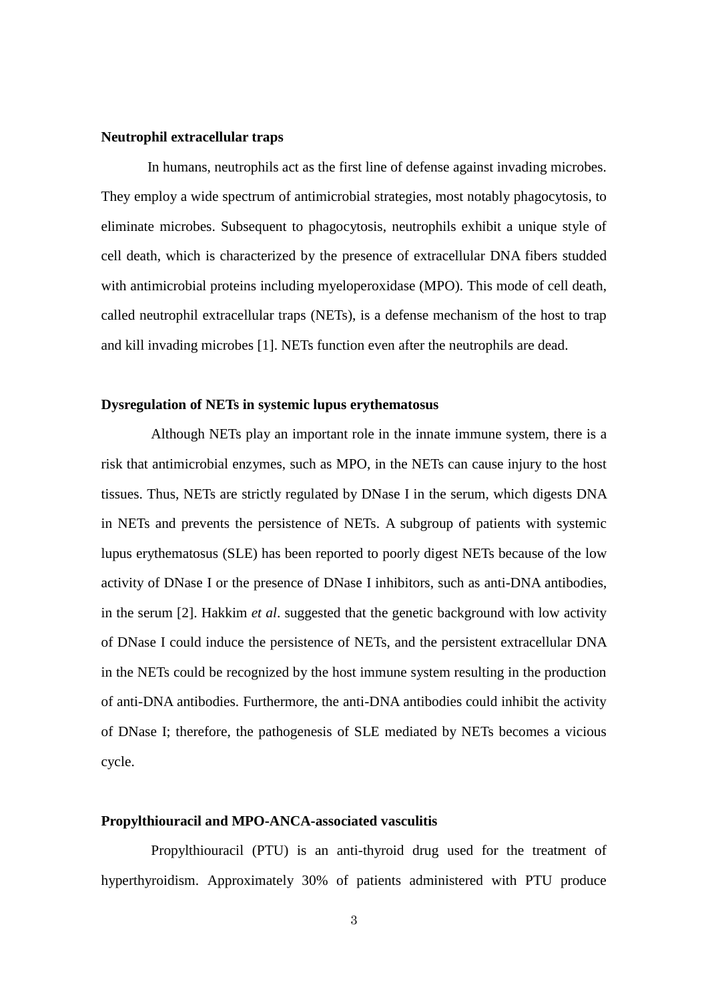#### **Neutrophil extracellular traps**

In humans, neutrophils act as the first line of defense against invading microbes. They employ a wide spectrum of antimicrobial strategies, most notably phagocytosis, to eliminate microbes. Subsequent to phagocytosis, neutrophils exhibit a unique style of cell death, which is characterized by the presence of extracellular DNA fibers studded with antimicrobial proteins including myeloperoxidase (MPO). This mode of cell death, called neutrophil extracellular traps (NETs), is a defense mechanism of the host to trap and kill invading microbes [1]. NETs function even after the neutrophils are dead.

#### **Dysregulation of NETs in systemic lupus erythematosus**

Although NETs play an important role in the innate immune system, there is a risk that antimicrobial enzymes, such as MPO, in the NETs can cause injury to the host tissues. Thus, NETs are strictly regulated by DNase I in the serum, which digests DNA in NETs and prevents the persistence of NETs. A subgroup of patients with systemic lupus erythematosus (SLE) has been reported to poorly digest NETs because of the low activity of DNase I or the presence of DNase I inhibitors, such as anti-DNA antibodies, in the serum [2]. Hakkim *et al*. suggested that the genetic background with low activity of DNase I could induce the persistence of NETs, and the persistent extracellular DNA in the NETs could be recognized by the host immune system resulting in the production of anti-DNA antibodies. Furthermore, the anti-DNA antibodies could inhibit the activity of DNase I; therefore, the pathogenesis of SLE mediated by NETs becomes a vicious cycle.

#### **Propylthiouracil and MPO-ANCA-associated vasculitis**

Propylthiouracil (PTU) is an anti-thyroid drug used for the treatment of hyperthyroidism. Approximately 30% of patients administered with PTU produce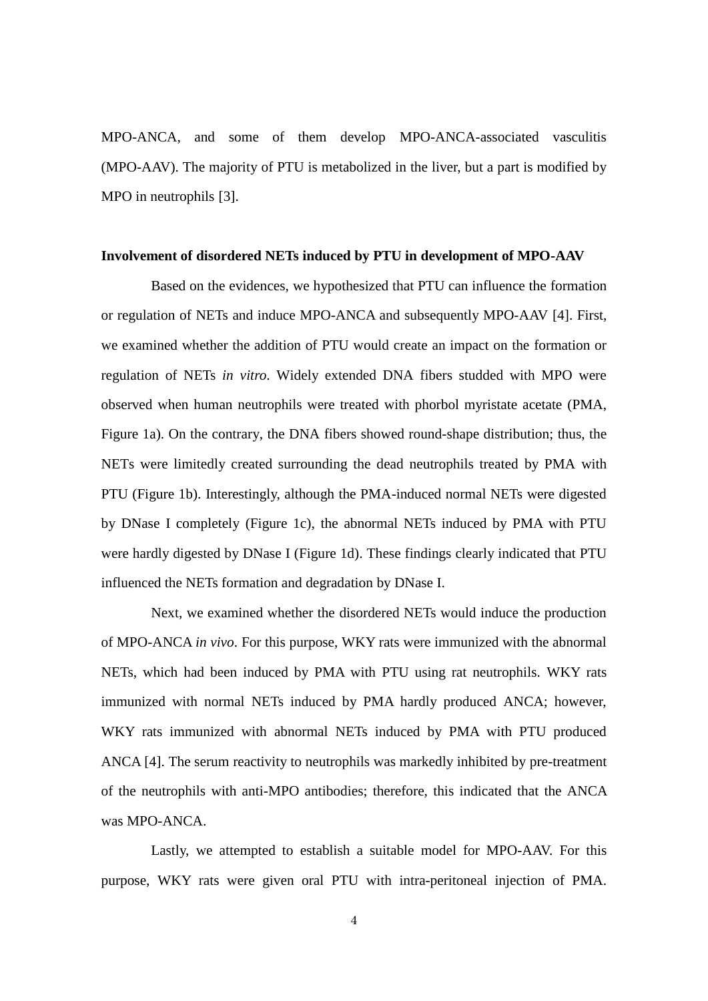MPO-ANCA, and some of them develop MPO-ANCA-associated vasculitis (MPO-AAV). The majority of PTU is metabolized in the liver, but a part is modified by MPO in neutrophils [3].

#### **Involvement of disordered NETs induced by PTU in development of MPO-AAV**

Based on the evidences, we hypothesized that PTU can influence the formation or regulation of NETs and induce MPO-ANCA and subsequently MPO-AAV [4]. First, we examined whether the addition of PTU would create an impact on the formation or regulation of NETs *in vitro*. Widely extended DNA fibers studded with MPO were observed when human neutrophils were treated with phorbol myristate acetate (PMA, Figure 1a). On the contrary, the DNA fibers showed round-shape distribution; thus, the NETs were limitedly created surrounding the dead neutrophils treated by PMA with PTU (Figure 1b). Interestingly, although the PMA-induced normal NETs were digested by DNase I completely (Figure 1c), the abnormal NETs induced by PMA with PTU were hardly digested by DNase I (Figure 1d). These findings clearly indicated that PTU influenced the NETs formation and degradation by DNase I.

Next, we examined whether the disordered NETs would induce the production of MPO-ANCA *in vivo*. For this purpose, WKY rats were immunized with the abnormal NETs, which had been induced by PMA with PTU using rat neutrophils. WKY rats immunized with normal NETs induced by PMA hardly produced ANCA; however, WKY rats immunized with abnormal NETs induced by PMA with PTU produced ANCA [4]. The serum reactivity to neutrophils was markedly inhibited by pre-treatment of the neutrophils with anti-MPO antibodies; therefore, this indicated that the ANCA was MPO-ANCA.

Lastly, we attempted to establish a suitable model for MPO-AAV. For this purpose, WKY rats were given oral PTU with intra-peritoneal injection of PMA.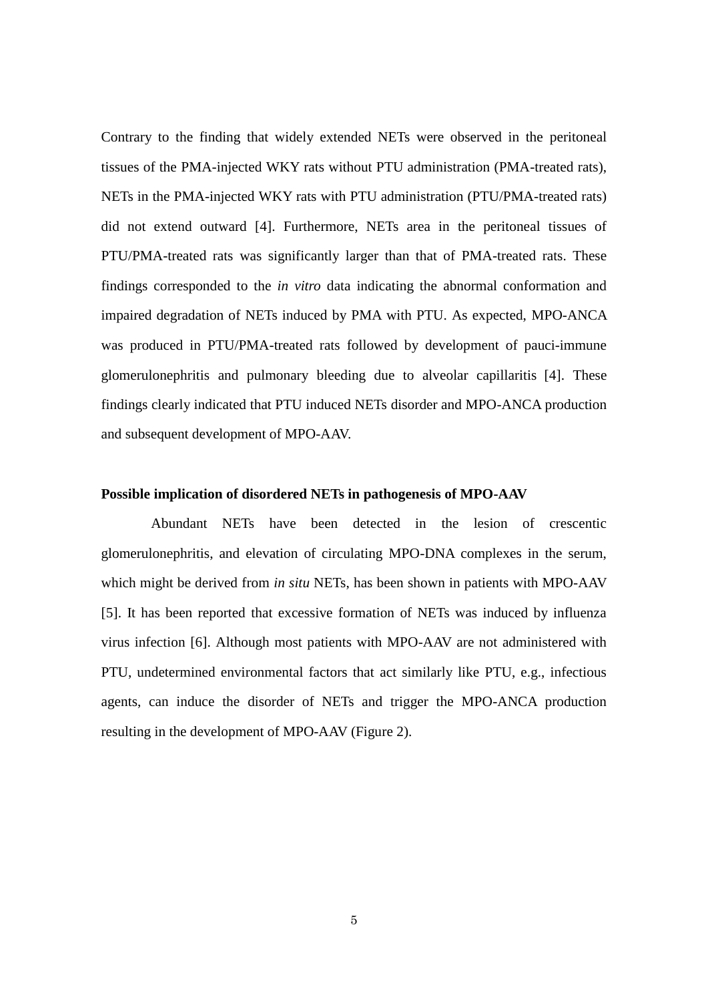Contrary to the finding that widely extended NETs were observed in the peritoneal tissues of the PMA-injected WKY rats without PTU administration (PMA-treated rats), NETs in the PMA-injected WKY rats with PTU administration (PTU/PMA-treated rats) did not extend outward [4]. Furthermore, NETs area in the peritoneal tissues of PTU/PMA-treated rats was significantly larger than that of PMA-treated rats. These findings corresponded to the *in vitro* data indicating the abnormal conformation and impaired degradation of NETs induced by PMA with PTU. As expected, MPO-ANCA was produced in PTU/PMA-treated rats followed by development of pauci-immune glomerulonephritis and pulmonary bleeding due to alveolar capillaritis [4]. These findings clearly indicated that PTU induced NETs disorder and MPO-ANCA production and subsequent development of MPO-AAV.

#### **Possible implication of disordered NETs in pathogenesis of MPO-AAV**

Abundant NETs have been detected in the lesion of crescentic glomerulonephritis, and elevation of circulating MPO-DNA complexes in the serum, which might be derived from *in situ* NETs, has been shown in patients with MPO-AAV [5]. It has been reported that excessive formation of NETs was induced by influenza virus infection [6]. Although most patients with MPO-AAV are not administered with PTU, undetermined environmental factors that act similarly like PTU, e.g., infectious agents, can induce the disorder of NETs and trigger the MPO-ANCA production resulting in the development of MPO-AAV (Figure 2).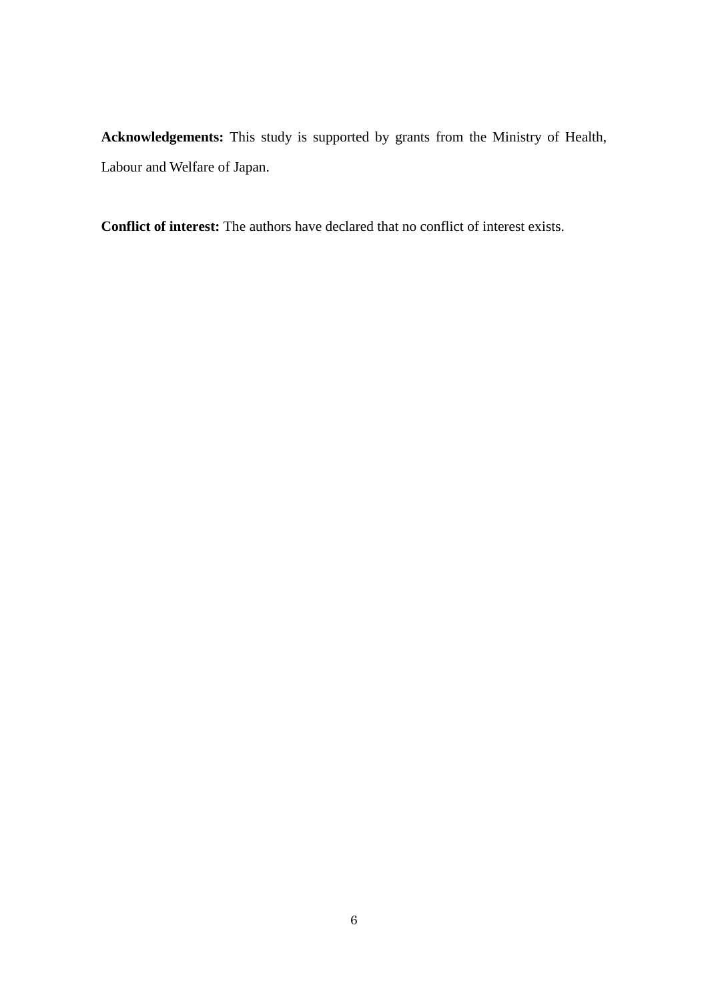**Acknowledgements:** This study is supported by grants from the Ministry of Health, Labour and Welfare of Japan.

**Conflict of interest:** The authors have declared that no conflict of interest exists.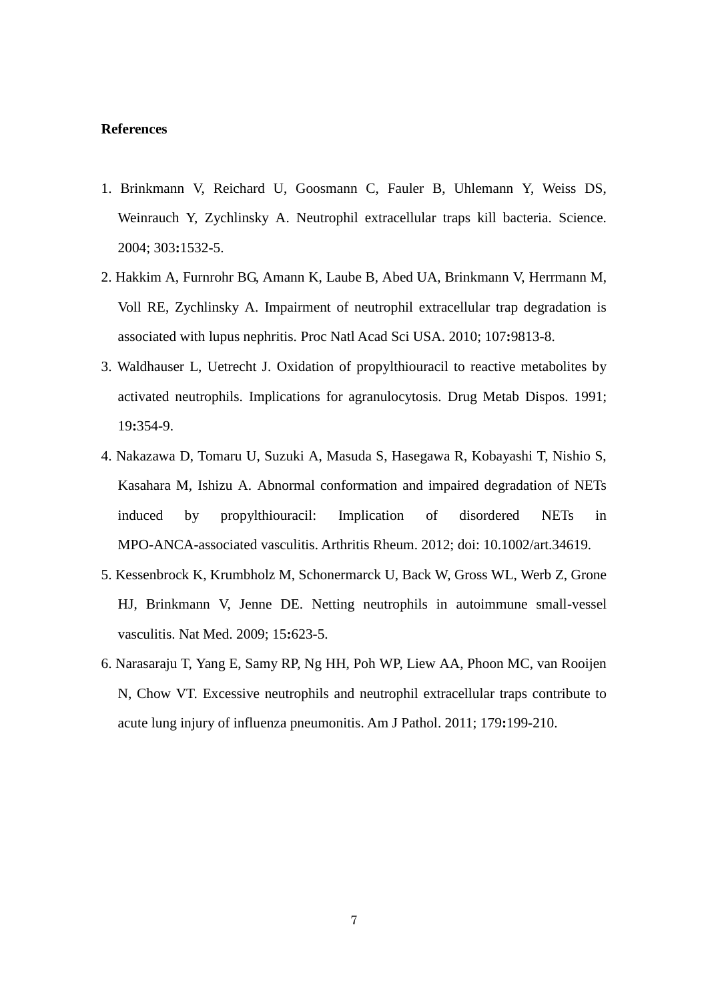#### **References**

- 1. Brinkmann V, Reichard U, Goosmann C, Fauler B, Uhlemann Y, Weiss DS, Weinrauch Y, Zychlinsky A. Neutrophil extracellular traps kill bacteria. Science. 2004; 303**:**1532-5.
- 2. Hakkim A, Furnrohr BG, Amann K, Laube B, Abed UA, Brinkmann V, Herrmann M, Voll RE, Zychlinsky A. Impairment of neutrophil extracellular trap degradation is associated with lupus nephritis. Proc Natl Acad Sci USA. 2010; 107**:**9813-8.
- 3. Waldhauser L, Uetrecht J. Oxidation of propylthiouracil to reactive metabolites by activated neutrophils. Implications for agranulocytosis. Drug Metab Dispos. 1991; 19**:**354-9.
- 4. Nakazawa D, Tomaru U, Suzuki A, Masuda S, Hasegawa R, Kobayashi T, Nishio S, Kasahara M, Ishizu A. Abnormal conformation and impaired degradation of NETs induced by propylthiouracil: Implication of disordered NETs in MPO-ANCA-associated vasculitis. Arthritis Rheum. 2012; doi: 10.1002/art.34619.
- 5. Kessenbrock K, Krumbholz M, Schonermarck U, Back W, Gross WL, Werb Z, Grone HJ, Brinkmann V, Jenne DE. Netting neutrophils in autoimmune small-vessel vasculitis. Nat Med. 2009; 15**:**623-5.
- 6. Narasaraju T, Yang E, Samy RP, Ng HH, Poh WP, Liew AA, Phoon MC, van Rooijen N, Chow VT. Excessive neutrophils and neutrophil extracellular traps contribute to acute lung injury of influenza pneumonitis. Am J Pathol. 2011; 179**:**199-210.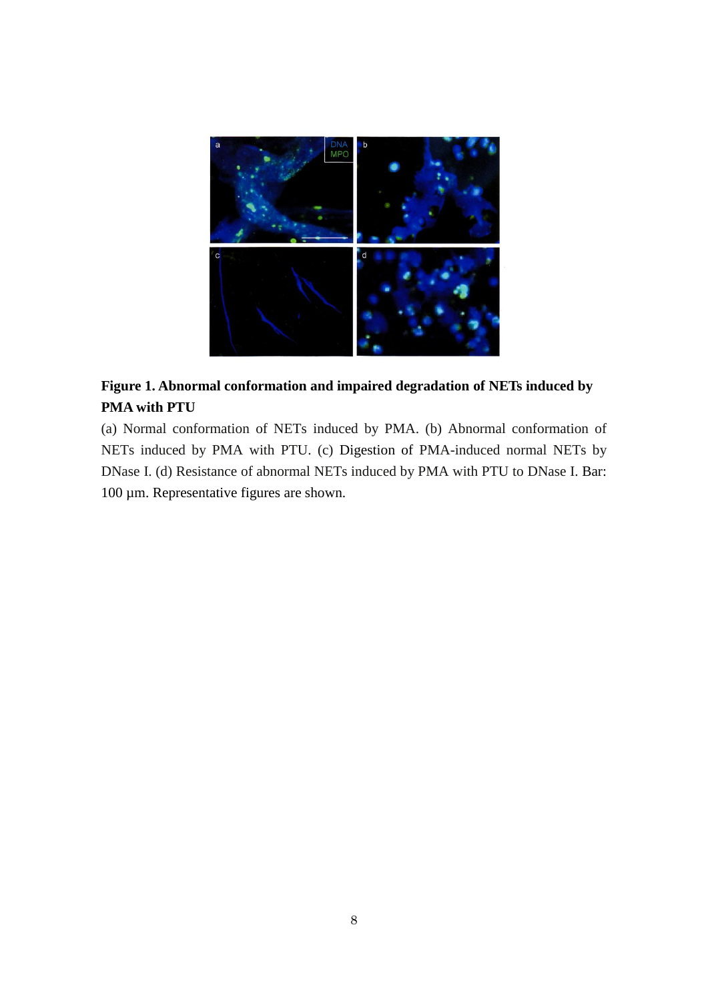

# **Figure 1. Abnormal conformation and impaired degradation of NETs induced by PMA with PTU**

(a) Normal conformation of NETs induced by PMA. (b) Abnormal conformation of NETs induced by PMA with PTU. (c) Digestion of PMA-induced normal NETs by DNase I. (d) Resistance of abnormal NETs induced by PMA with PTU to DNase I. Bar: 100 µm. Representative figures are shown.